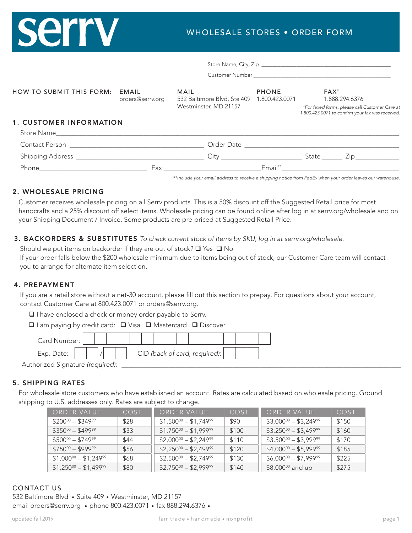# **Serry**

## WHOLESALE STORES • ORDER FORM

| HOW TO SUBMIT THIS FORM:       | EMAIL<br>orders@serrv.org | MAIL<br>532 Baltimore Blvd, Ste 409<br>Westminster, MD 21157 | <b>PHONE</b><br>1.800.423.0071 | FAX <sup>*</sup><br>1.888.294.6376<br>*For faxed forms, please call Customer Care at<br>1.800.423.0071 to confirm your fax was received. |
|--------------------------------|---------------------------|--------------------------------------------------------------|--------------------------------|------------------------------------------------------------------------------------------------------------------------------------------|
| <b>1. CUSTOMER INFORMATION</b> |                           |                                                              |                                |                                                                                                                                          |
|                                |                           |                                                              |                                |                                                                                                                                          |
|                                |                           |                                                              |                                | State ________ Zip _______________                                                                                                       |
|                                |                           |                                                              | Email**                        |                                                                                                                                          |

*\*\*Include your email address to receive a shipping notice from FedEx when your order leaves our warehouse.*

#### 2. WHOLESALE PRICING

Customer receives wholesale pricing on all Serrv products. This is a 50% discount off the Suggested Retail price for most handcrafts and a 25% discount off select items. Wholesale pricing can be found online after log in at serrv.org/wholesale and on your Shipping Document / Invoice. Some products are pre-priced at Suggested Retail Price.

#### 3. BACKORDERS & SUBSTITUTES *To check current stock of items by SKU, log in at serrv.org/wholesale.*

Should we put items on backorder if they are out of stock?  $\Box$  Yes  $\Box$  No If your order falls below the \$200 wholesale minimum due to items being out of stock, our Customer Care team will contact you to arrange for alternate item selection.

#### 4. PREPAYMENT

If you are a retail store without a net-30 account, please fill out this section to prepay. For questions about your account, contact Customer Care at 800.423.0071 or orders@serrv.org.

□ I have enclosed a check or money order payable to Serrv.

 $\Box$  I am paying by credit card:  $\Box$  Visa  $\Box$  Mastercard  $\Box$  Discover

| Card Number:                     |  |  |                               |  |  |  |  |  |
|----------------------------------|--|--|-------------------------------|--|--|--|--|--|
| Exp. Date:                       |  |  | CID (back of card, required): |  |  |  |  |  |
| Authorized Signature (required): |  |  |                               |  |  |  |  |  |

#### 5. SHIPPING RATES

For wholesale store customers who have established an account. Rates are calculated based on wholesale pricing. Ground shipping to U.S. addresses only. Rates are subject to change.

| ORDER VALUE                                 | COST | ORDER VALUE                                 | COST  | ORDER VALUE                                 | COST  |
|---------------------------------------------|------|---------------------------------------------|-------|---------------------------------------------|-------|
| $$200^{00} - $349^{99}$                     | \$28 | $$1,500^{\circ\circ} - $1,749^{\circ\circ}$ | \$90  | $$3,000^{\circ\circ} - $3,249^{\circ\circ}$ | \$150 |
| $$350^{00} - $499^{99}$                     | \$33 | $$1,750^{00} - $1,999^{99}$                 | \$100 | $$3,250^{00} - $3,499^{99}$                 | \$160 |
| $$500\degree$ - \$749 <sup>99</sup>         | \$44 | $$2,000^{\circ\circ} - $2,249^{\circ\circ}$ | \$110 | $$3,500^{\circ\circ} - $3,999^{\circ\circ}$ | \$170 |
| $$750^{00} - $999^{99}$                     | \$56 | $$2,250^{\circ\circ} - $2,499^{\circ\circ}$ | \$120 | $$4,000^{\circ\circ} - $5,999^{\circ\circ}$ | \$185 |
| $$1,000^{\circ} - $1,249^{\circ}$           | \$68 | $$2,500^{\circ\circ} - $2,749^{\circ\circ}$ | \$130 | $$6,000^{\circ\circ} - $7,999^{\circ\circ}$ | \$225 |
| $$1,250^{\circ\circ} - $1,499^{\circ\circ}$ | \$80 | $$2,750^{\circ\circ} - $2,999^{\circ\circ}$ | \$140 | $$8,000\%$ and up                           | \$275 |

### CONTACT US

532 Baltimore Blvd • Suite 409 • Westminster, MD 21157 email orders@serrv.org • phone 800.423.0071 • fax 888.294.6376 •